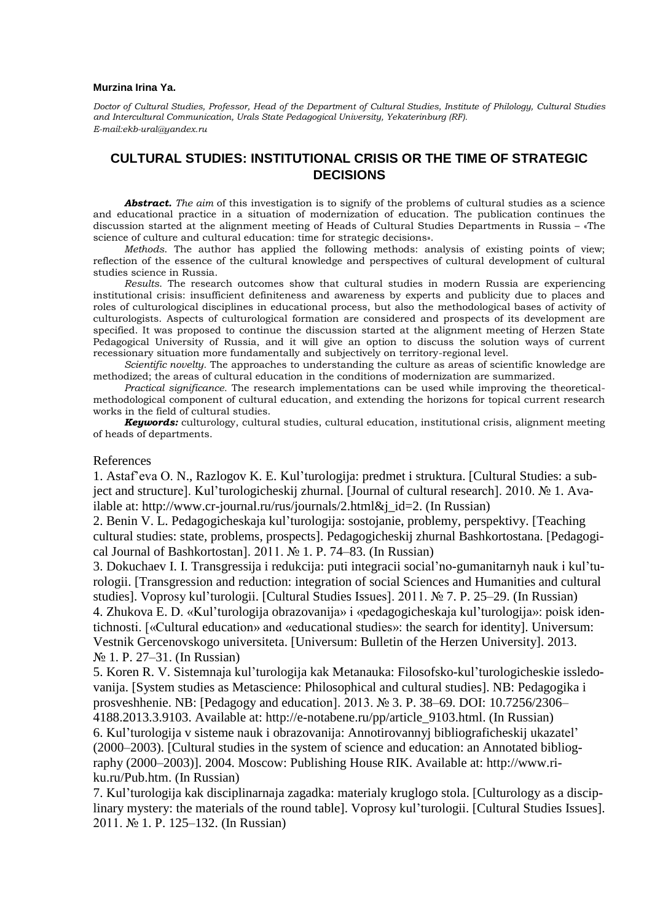## **Murzina Irina Ya.**

*Doctor of Cultural Studies, Professor, Head of the Department of Cultural Studies, Institute of Philology, Cultural Studies and Intercultural Communication, Urals State Pedagogical University, Yekaterinburg (RF). E-mail:ekb-ural@yandex.ru*

## **CULTURAL STUDIES: INSTITUTIONAL CRISIS OR THE TIME OF STRATEGIC DECISIONS**

*Аbstract. The aim* of this investigation is to signify of the problems of cultural studies as a science and educational practice in a situation of modernization of education. The publication continues the discussion started at the alignment meeting of Heads of Cultural Studies Departments in Russia – «The science of culture and cultural education: time for strategic decisions».

*Methods*. The author has applied the following methods: analysis of existing points of view; reflection of the essence of the cultural knowledge and perspectives of cultural development of cultural studies science in Russia.

*Results*. The research outcomes show that cultural studies in modern Russia are experiencing institutional crisis: insufficient definiteness and awareness by experts and publicity due to places and roles of culturological disciplines in educational process, but also the methodological bases of activity of culturologists. Aspects of culturological formation are considered and prospects of its development are specified. It was proposed to continue the discussion started at the alignment meeting of Herzen State Pedagogical University of Russia, and it will give an option to discuss the solution ways of current recessionary situation more fundamentally and subjectively on territory-regional level.

*Scientific novelty.* The approaches to understanding the culture as areas of scientific knowledge are methodized; the areas of cultural education in the conditions of modernization are summarized.

*Practical significance.* The research implementations can be used while improving the theoreticalmethodological component of cultural education, and extending the horizons for topical current research works in the field of cultural studies.

*Keywords:* culturology, cultural studies, cultural education, institutional crisis, alignment meeting of heads of departments.

## References

1. Astaf'eva O. N., Razlogov K. E. Kul'turologija: predmet i struktura. [Cultural Studies: a subject and structure]. Kul'turologicheskij zhurnal. [Journal of cultural research]. 2010. № 1. Available at: http://www.cr-journal.ru/rus/journals/2.html&j\_id=2. (In Russian)

2. Benin V. L. Pedagogicheskaja kul'turologija: sostojanie, problemy, perspektivy. [Teaching cultural studies: state, problems, prospects]. Pedagogicheskij zhurnal Bashkortostana. [Pedagogical Journal of Bashkortostan]. 2011. № 1. P. 74–83. (In Russian)

3. Dokuchaev I. I. Transgressija i redukcija: puti integracii social'no-gumanitarnyh nauk i kul'turologii. [Transgression and reduction: integration of social Sciences and Humanities and cultural studies]. Voprosy kul'turologii. [Cultural Studies Issues]. 2011. № 7. P. 25–29. (In Russian) 4. Zhukova E. D. «Kul'turologija obrazovanija» i «pedagogicheskaja kul'turologija»: poisk identichnosti. [«Cultural education» and «educational studies»: the search for identity]. Universum: Vestnik Gercenovskogo universiteta. [Universum: Bulletin of the Herzen University]. 2013. № 1. P. 27–31. (In Russian)

5. Koren R. V. Sistemnaja kul'turologija kak Metanauka: Filosofsko-kul'turologicheskie issledovanija. [System studies as Metascience: Philosophical and cultural studies]. NB: Pedagogika i prosveshhenie. NB: [Pedagogy and education]. 2013. № 3. P. 38–69. DOI: 10.7256/2306– 4188.2013.3.9103. Available at: http://e-notabene.ru/pp/article\_9103.html. (In Russian) 6. Kul'turologija v sisteme nauk i obrazovanija: Annotirovannyj bibliograficheskij ukazatel' (2000–2003). [Cultural studies in the system of science and education: an Annotated bibliography (2000–2003)]. 2004. Moscow: Publishing House RIK. Available at: http://www.riku.ru/Pub.htm. (In Russian)

7. Kul'turologija kak disciplinarnaja zagadka: materialy kruglogo stola. [Culturology as a disciplinary mystery: the materials of the round table]. Voprosy kul'turologii. [Cultural Studies Issues]. 2011. № 1. P. 125–132. (In Russian)